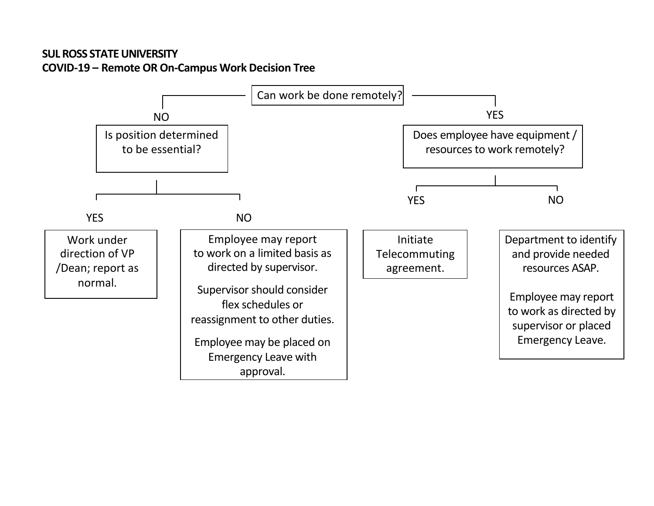## **SUL ROSS STATE UNIVERSITY COVID-19 – Remote OR On-Campus Work Decision Tree**

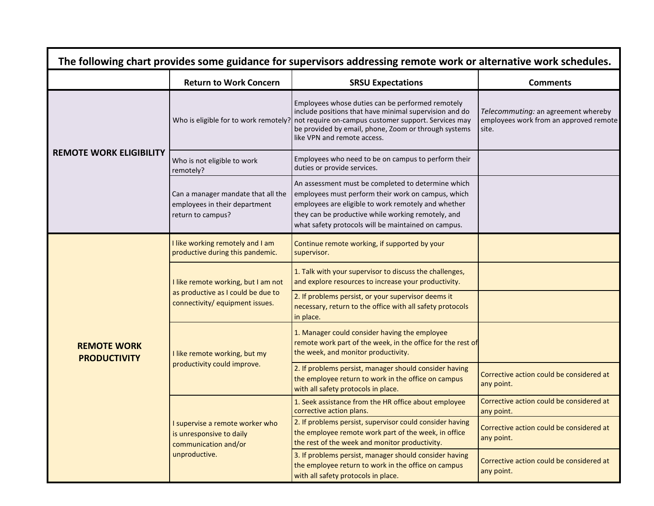| The following chart provides some guidance for supervisors addressing remote work or alternative work schedules. |                                                                                                              |                                                                                                                                                                                                                                                                                                 |                                                                                        |  |  |  |
|------------------------------------------------------------------------------------------------------------------|--------------------------------------------------------------------------------------------------------------|-------------------------------------------------------------------------------------------------------------------------------------------------------------------------------------------------------------------------------------------------------------------------------------------------|----------------------------------------------------------------------------------------|--|--|--|
|                                                                                                                  | <b>Return to Work Concern</b>                                                                                | <b>SRSU Expectations</b>                                                                                                                                                                                                                                                                        | <b>Comments</b>                                                                        |  |  |  |
| <b>REMOTE WORK ELIGIBILITY</b>                                                                                   |                                                                                                              | Employees whose duties can be performed remotely<br>include positions that have minimal supervision and do<br>Who is eligible for to work remotely? not require on-campus customer support. Services may<br>be provided by email, phone, Zoom or through systems<br>like VPN and remote access. | Telecommuting: an agreement whereby<br>employees work from an approved remote<br>site. |  |  |  |
|                                                                                                                  | Who is not eligible to work<br>remotely?                                                                     | Employees who need to be on campus to perform their<br>duties or provide services.                                                                                                                                                                                                              |                                                                                        |  |  |  |
|                                                                                                                  | Can a manager mandate that all the<br>employees in their department<br>return to campus?                     | An assessment must be completed to determine which<br>employees must perform their work on campus, which<br>employees are eligible to work remotely and whether<br>they can be productive while working remotely, and<br>what safety protocols will be maintained on campus.                    |                                                                                        |  |  |  |
| <b>REMOTE WORK</b><br><b>PRODUCTIVITY</b>                                                                        | I like working remotely and I am<br>productive during this pandemic.                                         | Continue remote working, if supported by your<br>supervisor.                                                                                                                                                                                                                                    |                                                                                        |  |  |  |
|                                                                                                                  | I like remote working, but I am not<br>as productive as I could be due to<br>connectivity/ equipment issues. | 1. Talk with your supervisor to discuss the challenges,<br>and explore resources to increase your productivity.                                                                                                                                                                                 |                                                                                        |  |  |  |
|                                                                                                                  |                                                                                                              | 2. If problems persist, or your supervisor deems it<br>necessary, return to the office with all safety protocols<br>in place.                                                                                                                                                                   |                                                                                        |  |  |  |
|                                                                                                                  | I like remote working, but my<br>productivity could improve.                                                 | 1. Manager could consider having the employee<br>remote work part of the week, in the office for the rest of<br>the week, and monitor productivity.                                                                                                                                             |                                                                                        |  |  |  |
|                                                                                                                  |                                                                                                              | 2. If problems persist, manager should consider having<br>the employee return to work in the office on campus<br>with all safety protocols in place.                                                                                                                                            | Corrective action could be considered at<br>any point.                                 |  |  |  |
|                                                                                                                  | I supervise a remote worker who<br>is unresponsive to daily<br>communication and/or<br>unproductive.         | 1. Seek assistance from the HR office about employee<br>corrective action plans.                                                                                                                                                                                                                | Corrective action could be considered at<br>any point.                                 |  |  |  |
|                                                                                                                  |                                                                                                              | 2. If problems persist, supervisor could consider having<br>the employee remote work part of the week, in office<br>the rest of the week and monitor productivity.                                                                                                                              | Corrective action could be considered at<br>any point.                                 |  |  |  |
|                                                                                                                  |                                                                                                              | 3. If problems persist, manager should consider having<br>the employee return to work in the office on campus<br>with all safety protocols in place.                                                                                                                                            | Corrective action could be considered at<br>any point.                                 |  |  |  |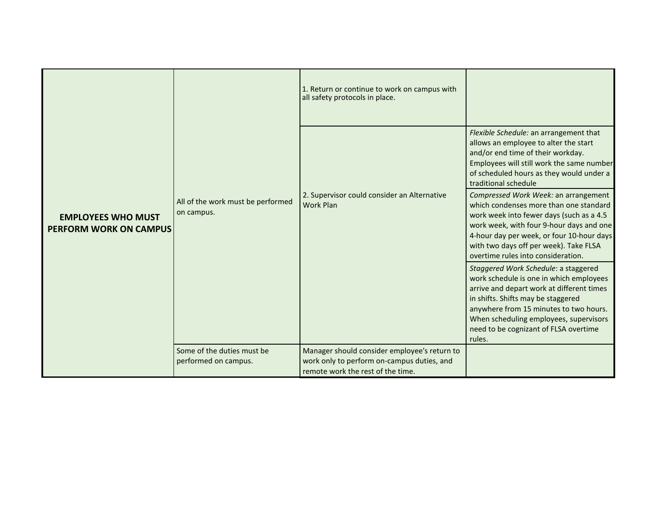| <b>EMPLOYEES WHO MUST</b><br><b>PERFORM WORK ON CAMPUS</b> | All of the work must be performed<br>on campus.    | 1. Return or continue to work on campus with<br>all safety protocols in place.                                                  |                                                                                                                                                                                                                                                                                                           |
|------------------------------------------------------------|----------------------------------------------------|---------------------------------------------------------------------------------------------------------------------------------|-----------------------------------------------------------------------------------------------------------------------------------------------------------------------------------------------------------------------------------------------------------------------------------------------------------|
|                                                            |                                                    |                                                                                                                                 | Flexible Schedule: an arrangement that<br>allows an employee to alter the start<br>and/or end time of their workday.<br>Employees will still work the same number<br>of scheduled hours as they would under a<br>traditional schedule                                                                     |
|                                                            |                                                    | 2. Supervisor could consider an Alternative<br><b>Work Plan</b>                                                                 | Compressed Work Week: an arrangement<br>which condenses more than one standard<br>work week into fewer days (such as a 4.5<br>work week, with four 9-hour days and one<br>4-hour day per week, or four 10-hour days<br>with two days off per week). Take FLSA<br>overtime rules into consideration.       |
|                                                            |                                                    |                                                                                                                                 | Staggered Work Schedule: a staggered<br>work schedule is one in which employees<br>arrive and depart work at different times<br>in shifts. Shifts may be staggered<br>anywhere from 15 minutes to two hours.<br>When scheduling employees, supervisors<br>need to be cognizant of FLSA overtime<br>rules. |
|                                                            | Some of the duties must be<br>performed on campus. | Manager should consider employee's return to<br>work only to perform on-campus duties, and<br>remote work the rest of the time. |                                                                                                                                                                                                                                                                                                           |